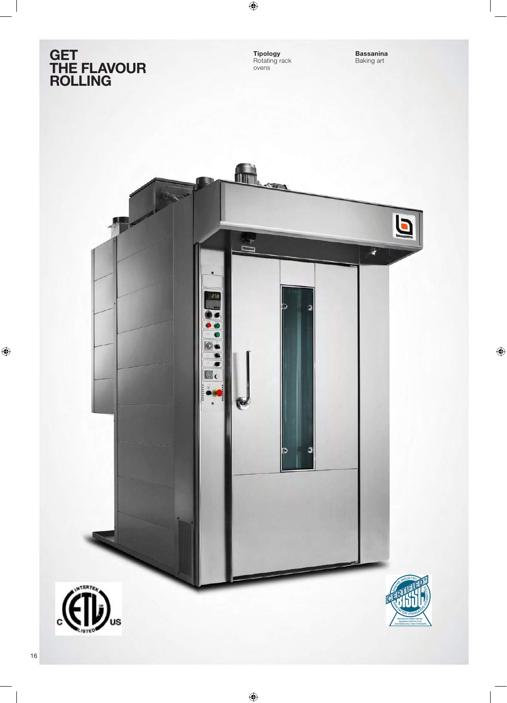## **GET<br>THE FLAVOUR<br>ROLLING**

**Tipology**<br>Rotating rack<br>ovens

**Bassanina**<br>Baking art